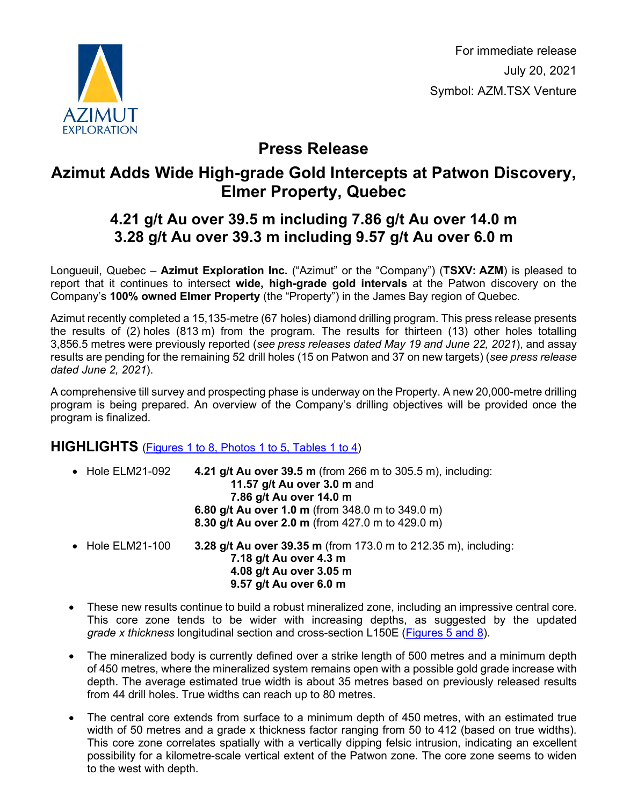

For immediate release July 20, 2021 Symbol: AZM.TSX Venture

# **Press Release**

# **Azimut Adds Wide High-grade Gold Intercepts at Patwon Discovery, Elmer Property, Quebec**

## **4.21 g/t Au over 39.5 m including 7.86 g/t Au over 14.0 m 3.28 g/t Au over 39.3 m including 9.57 g/t Au over 6.0 m**

Longueuil, Quebec – **Azimut Exploration Inc.** ("Azimut" or the "Company") (**TSXV: AZM**) is pleased to report that it continues to intersect **wide, high-grade gold intervals** at the Patwon discovery on the Company's **100% owned Elmer Property** (the "Property") in the James Bay region of Quebec.

Azimut recently completed a 15,135-metre (67 holes) diamond drilling program. This press release presents the results of (2) holes (813 m) from the program. The results for thirteen (13) other holes totalling 3,856.5 metres were previously reported (*see press releases dated May 19 and June 22, 2021*), and assay results are pending for the remaining 52 drill holes (15 on Patwon and 37 on new targets) (*see press release dated June 2, 2021*).

A comprehensive till survey and prospecting phase is underway on the Property. A new 20,000-metre drilling program is being prepared. An overview of the Company's drilling objectives will be provided once the program is finalized.

#### **HIGHLIGHTS** [\(Figures 1 to 8, Photos 1 to 5, Tables 1 to 4\)](http://www.azimut-exploration.com/en/presentations/PR20210720_Figures1-8_Photos1-5_Tables1-4-p.pdf)

| $\bullet$ Hole ELM21-092 | <b>4.21 g/t Au over 39.5 m</b> (from 266 m to 305.5 m), including:<br>11.57 g/t Au over 3.0 m and<br>7.86 g/t Au over 14.0 m<br>6.80 g/t Au over 1.0 m (from 348.0 m to 349.0 m)<br>8.30 g/t Au over 2.0 m (from 427.0 m to 429.0 m) |
|--------------------------|--------------------------------------------------------------------------------------------------------------------------------------------------------------------------------------------------------------------------------------|
| $\bullet$ Hole ELM21-100 | 3.28 g/t Au over 39.35 m (from 173.0 m to 212.35 m), including:<br>7.18 g/t Au over 4.3 m<br>4.08 g/t Au over 3.05 m<br>9.57 g/t Au over 6.0 m                                                                                       |

- These new results continue to build a robust mineralized zone, including an impressive central core. This core zone tends to be wider with increasing depths, as suggested by the updated *grade x thickness* longitudinal section and cross-section L150E [\(Figures 5 and 8\)](http://www.azimut-exploration.com/en/presentations/PR20210720_Figures5and8-p.pdf).
- The mineralized body is currently defined over a strike length of 500 metres and a minimum depth of 450 metres, where the mineralized system remains open with a possible gold grade increase with depth. The average estimated true width is about 35 metres based on previously released results from 44 drill holes. True widths can reach up to 80 metres.
- The central core extends from surface to a minimum depth of 450 metres, with an estimated true width of 50 metres and a grade x thickness factor ranging from 50 to 412 (based on true widths). This core zone correlates spatially with a vertically dipping felsic intrusion, indicating an excellent possibility for a kilometre-scale vertical extent of the Patwon zone. The core zone seems to widen to the west with depth.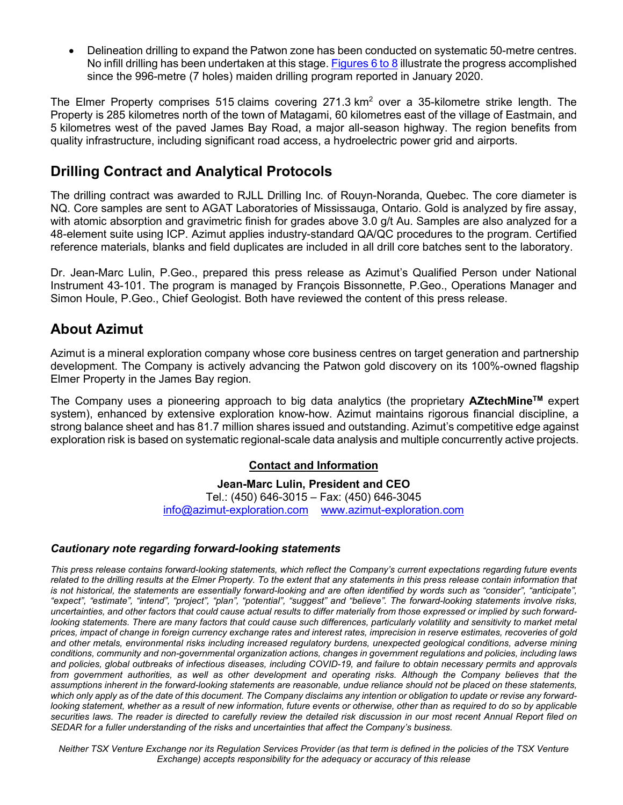• Delineation drilling to expand the Patwon zone has been conducted on systematic 50-metre centres. No infill drilling has been undertaken at this stage. [Figures 6 to 8](http://www.azimut-exploration.com/en/presentations/PR20210720_Figures6-8-p.pdf) illustrate the progress accomplished since the 996-metre (7 holes) maiden drilling program reported in January 2020.

The Elmer Property comprises 515 claims covering  $271.3 \text{ km}^2$  over a 35-kilometre strike length. The Property is 285 kilometres north of the town of Matagami, 60 kilometres east of the village of Eastmain, and 5 kilometres west of the paved James Bay Road, a major all-season highway. The region benefits from quality infrastructure, including significant road access, a hydroelectric power grid and airports.

## **Drilling Contract and Analytical Protocols**

The drilling contract was awarded to RJLL Drilling Inc. of Rouyn-Noranda, Quebec. The core diameter is NQ. Core samples are sent to AGAT Laboratories of Mississauga, Ontario. Gold is analyzed by fire assay, with atomic absorption and gravimetric finish for grades above 3.0 g/t Au. Samples are also analyzed for a 48-element suite using ICP. Azimut applies industry-standard QA/QC procedures to the program. Certified reference materials, blanks and field duplicates are included in all drill core batches sent to the laboratory.

Dr. Jean-Marc Lulin, P.Geo., prepared this press release as Azimut's Qualified Person under National Instrument 43-101. The program is managed by François Bissonnette, P.Geo., Operations Manager and Simon Houle, P.Geo., Chief Geologist. Both have reviewed the content of this press release.

## **About Azimut**

Azimut is a mineral exploration company whose core business centres on target generation and partnership development. The Company is actively advancing the Patwon gold discovery on its 100%-owned flagship Elmer Property in the James Bay region.

The Company uses a pioneering approach to big data analytics (the proprietary **AZtechMineTM** expert system), enhanced by extensive exploration know-how. Azimut maintains rigorous financial discipline, a strong balance sheet and has 81.7 million shares issued and outstanding. Azimut's competitive edge against exploration risk is based on systematic regional-scale data analysis and multiple concurrently active projects.

#### **Contact and Information**

**Jean-Marc Lulin, President and CEO** Tel.: (450) 646-3015 – Fax: (450) 646-3045 [info@azimut-exploration.com](mailto:info@azimut-exploration.com) [www.azimut-exploration.com](http://www.azimut-exploration.com/)

#### *Cautionary note regarding forward-looking statements*

*This press release contains forward-looking statements, which reflect the Company's current expectations regarding future events related to the drilling results at the Elmer Property. To the extent that any statements in this press release contain information that*  is not historical, the statements are essentially forward-looking and are often identified by words such as "consider", "anticipate", *"expect", "estimate", "intend", "project", "plan", "potential", "suggest" and "believe". The forward-looking statements involve risks, uncertainties, and other factors that could cause actual results to differ materially from those expressed or implied by such forwardlooking statements. There are many factors that could cause such differences, particularly volatility and sensitivity to market metal prices, impact of change in foreign currency exchange rates and interest rates, imprecision in reserve estimates, recoveries of gold and other metals, environmental risks including increased regulatory burdens, unexpected geological conditions, adverse mining conditions, community and non-governmental organization actions, changes in government regulations and policies, including laws and policies, global outbreaks of infectious diseases, including COVID-19, and failure to obtain necessary permits and approvals*  from government authorities, as well as other development and operating risks. Although the Company believes that the *assumptions inherent in the forward-looking statements are reasonable, undue reliance should not be placed on these statements, which only apply as of the date of this document. The Company disclaims any intention or obligation to update or revise any forwardlooking statement, whether as a result of new information, future events or otherwise, other than as required to do so by applicable securities laws. The reader is directed to carefully review the detailed risk discussion in our most recent Annual Report filed on SEDAR for a fuller understanding of the risks and uncertainties that affect the Company's business.*

*Neither TSX Venture Exchange nor its Regulation Services Provider (as that term is defined in the policies of the TSX Venture Exchange) accepts responsibility for the adequacy or accuracy of this release*